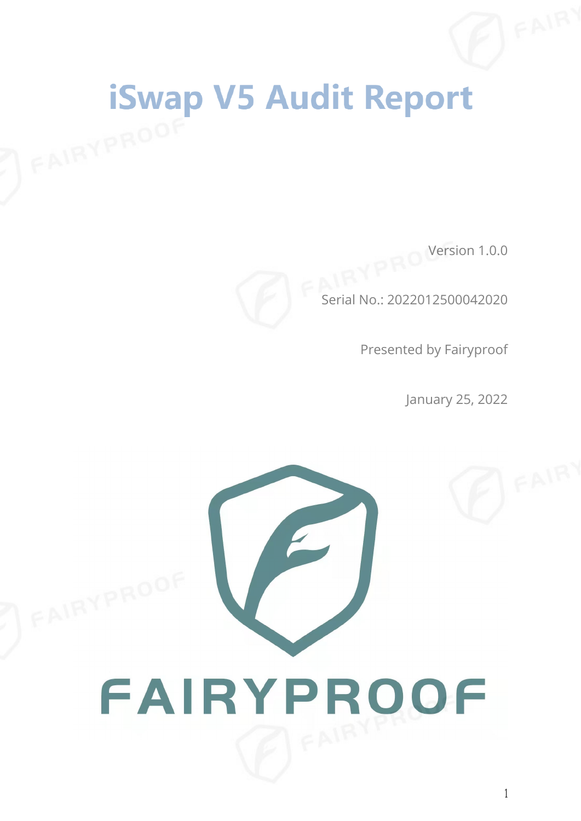# **iSwap V5 Audit Report** FAIRYPROOF

Version 1.0.0



Serial No.: 2022012500042020

Presented by Fairyproof

January 25, 2022

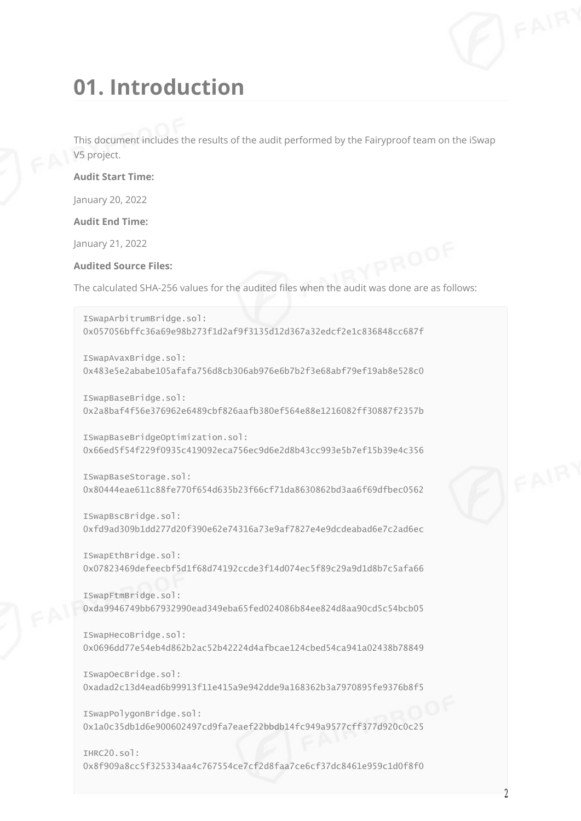### **01. Introduction**

This document includes the results of the audit performed by the Fairyproof team on the iSwap V5 project.

#### **Audit Start Time:**

January 20, 2022

**Audit End Time:**

January 21, 2022

#### **Audited Source Files:**

The calculated SHA-256 values for the audited files when the audit was done are as follows:

ISwapArbitrumBridge.sol: 0x057056bffc36a69e98b273f1d2af9f3135d12d367a32edcf2e1c836848cc687f

ISwapAvaxBridge.sol: 0x483e5e2ababe105afafa756d8cb306ab976e6b7b2f3e68abf79ef19ab8e528c0

ISwapBaseBridge.sol: 0x2a8baf4f56e376962e6489cbf826aafb380ef564e88e1216082ff30887f2357b

ISwapBaseBridgeOptimization.sol: 0x66ed5f54f229f0935c419092eca756ec9d6e2d8b43cc993e5b7ef15b39e4c356

ISwapBaseStorage.sol: 0x80444eae611c88fe770f654d635b23f66cf71da8630862bd3aa6f69dfbec0562

ISwapBscBridge.sol: 0xfd9ad309b1dd277d20f390e62e74316a73e9af7827e4e9dcdeabad6e7c2ad6ec

ISwapEthBridge.sol: 0x07823469defeecbf5d1f68d74192ccde3f14d074ec5f89c29a9d1d8b7c5afa66

ISwapFtmBridge.sol: 0xda9946749bb67932990ead349eba65fed024086b84ee824d8aa90cd5c54bcb05

ISwapHecoBridge.sol: 0x0696dd77e54eb4d862b2ac52b42224d4afbcae124cbed54ca941a02438b78849

ISwapOecBridge.sol: 0xadad2c13d4ead6b99913f11e415a9e942dde9a168362b3a7970895fe9376b8f5

ISwapPolygonBridge.sol: 0x1a0c35db1d6e900602497cd9fa7eaef22bbdb14fc949a9577cff377d920c0c25

IHRC20.sol: 0x8f909a8cc5f325334aa4c767554ce7cf2d8faa7ce6cf37dc8461e959c1d0f8f0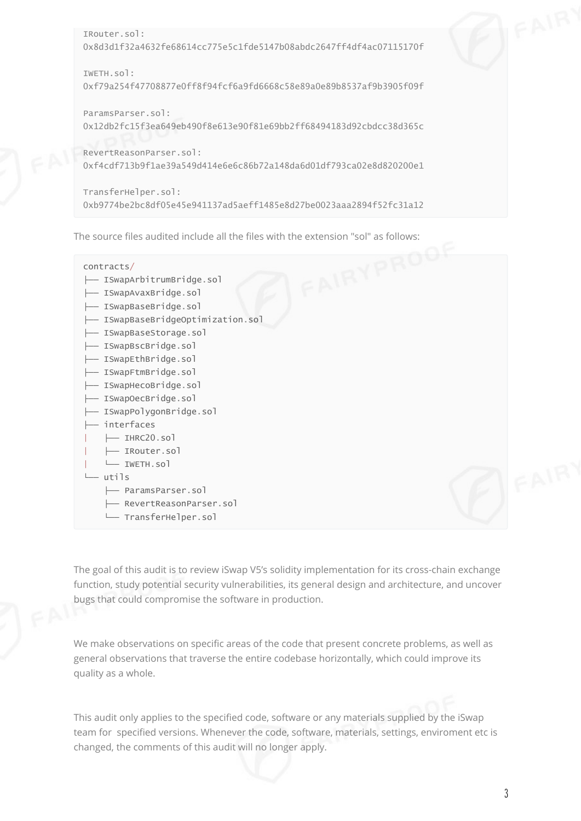```
IRouter.sol:
0x8d3d1f32a4632fe68614cc775e5c1fde5147b08abdc2647ff4df4ac07115170f
IWETH.sol:
0xf79a254f47708877e0ff8f94fcf6a9fd6668c58e89a0e89b8537af9b3905f09f
ParamsParser.sol:
0x12db2fc15f3ea649eb490f8e613e90f81e69bb2ff68494183d92cbdcc38d365c
RevertReasonParser.sol:
0xf4cdf713b9f1ae39a549d414e6e6c86b72a148da6d01df793ca02e8d820200e1
TransferHelper.sol:
```
0xb9774be2bc8df05e45e941137ad5aeff1485e8d27be0023aaa2894f52fc31a12

The source files audited include all the files with the extension "sol" as follows:<br>
contracts/<br>
— ISwapArbitrumBridge.sol<br>
— ISwanAvavari contracts/ ├── ISwapArbitrumBridge.sol ├── ISwapAvaxBridge.sol ├── ISwapBaseBridge.sol ├── ISwapBaseBridgeOptimization.sol ├── ISwapBaseStorage.sol ├── ISwapBscBridge.sol ├── ISwapEthBridge.sol ├── ISwapFtmBridge.sol ├── ISwapHecoBridge.sol ├── ISwapOecBridge.sol ├── ISwapPolygonBridge.sol ├── interfaces | ├── IHRC20.sol | ├── IRouter.sol | └── IWETH.sol └── utils ├── ParamsParser.sol

- RevertReasonParser.sol
- └── TransferHelper.sol

The goal of this audit is to review iSwap V5's solidity implementation for its cross-chain exchange function, study potential security vulnerabilities, its general design and architecture, and uncover bugs that could compromise the software in production.

We make observations on specific areas of the code that present concrete problems, as well as general observations that traverse the entire codebase horizontally, which could improve its quality as a whole.

This audit only applies to the specified code, software or any materials supplied by the iSwap team for specified versions. Whenever the code, software, materials, settings, enviroment etc is changed, the comments of this audit will no longer apply.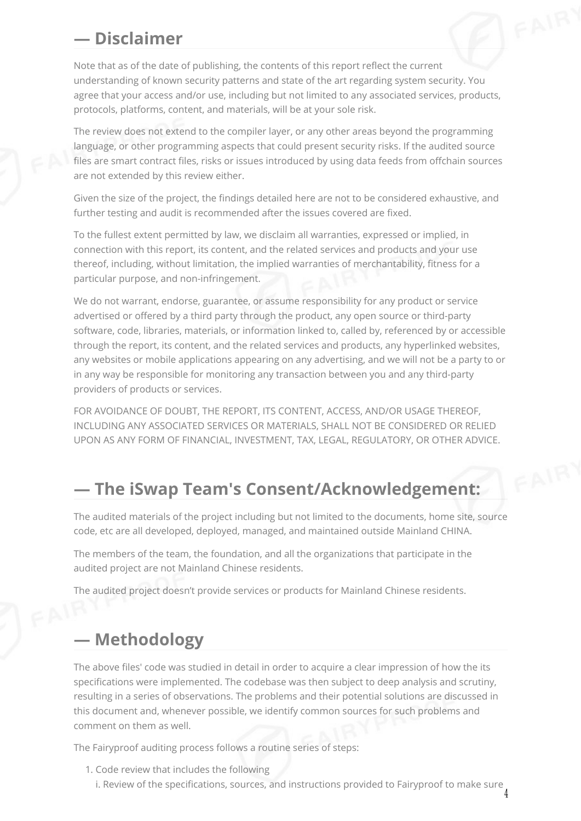#### **— Disclaimer**

Note that as of the date of publishing, the contents of this report reflect the current understanding of known security patterns and state of the art regarding system security. You agree that your access and/or use, including but not limited to any associated services, products, protocols, platforms, content, and materials, will be at your sole risk.

The review does not extend to the compiler layer, or any other areas beyond the programming language, or other programming aspects that could present security risks. If the audited source files are smart contract files, risks or issues introduced by using data feeds from offchain sources are not extended by this review either.

Given the size of the project, the findings detailed here are not to be considered exhaustive, and further testing and audit is recommended after the issues covered are fixed.

To the fullest extent permitted by law, we disclaim all warranties, expressed or implied, in connection with this report, its content, and the related services and products and your use thereof, including, without limitation, the implied warranties of merchantability, fitness for a particular purpose, and non-infringement.

We do not warrant, endorse, guarantee, or assume responsibility for any product or service advertised or offered by a third party through the product, any open source or third-party software, code, libraries, materials, or information linked to, called by, referenced by or accessible through the report, its content, and the related services and products, any hyperlinked websites, any websites or mobile applications appearing on any advertising, and we will not be a party to or in any way be responsible for monitoring any transaction between you and any third-party providers of products or services.

FOR AVOIDANCE OF DOUBT, THE REPORT, ITS CONTENT, ACCESS, AND/OR USAGE THEREOF, INCLUDING ANY ASSOCIATED SERVICES OR MATERIALS, SHALL NOT BE CONSIDERED OR RELIED UPON AS ANY FORM OF FINANCIAL, INVESTMENT, TAX, LEGAL, REGULATORY, OR OTHER ADVICE.

#### **— The iSwap Team's Consent/Acknowledgement:**

The audited materials of the project including but not limited to the documents, home site, source code, etc are all developed, deployed, managed, and maintained outside Mainland CHINA.

The members of the team, the foundation, and all the organizations that participate in the audited project are not Mainland Chinese residents.

The audited project doesn't provide services or products for Mainland Chinese residents.

#### **— Methodology**

The above files' code was studied in detail in order to acquire a clear impression of how the its specifications were implemented. The codebase was then subject to deep analysis and scrutiny, resulting in a series of observations. The problems and their potential solutions are discussed in this document and, whenever possible, we identify common sources for such problems and comment on them as well.

The Fairyproof auditing process follows a routine series of steps:

1. Code review that includes the following i. Review of the specifications, sources, and instructions provided to Fairyproof to make sure 4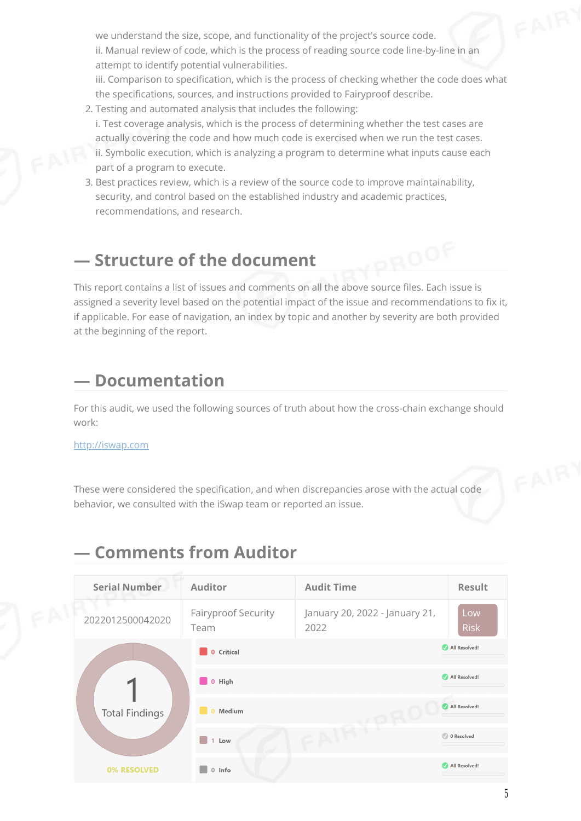we understand the size, scope, and functionality of the project's source code. ii. Manual review of code, which is the process of reading source code line-by-line in an attempt to identify potential vulnerabilities.

iii. Comparison to specification, which is the process of checking whether the code does what the specifications, sources, and instructions provided to Fairyproof describe.

- 2. Testing and automated analysis that includes the following:
- i. Test coverage analysis, which is the process of determining whether the test cases are actually covering the code and how much code is exercised when we run the test cases. ii. Symbolic execution, which is analyzing a program to determine what inputs cause each part of a program to execute.
- 3. Best practices review, which is a review of the source code to improve maintainability, security, and control based on the established industry and academic practices, recommendations, and research.

#### **— Structure of the document**

This report contains a list of issues and comments on all the above source files. Each issue is assigned a severity level based on the potential impact of the issue and recommendations to fix it, if applicable. For ease of navigation, an index by topic and another by severity are both provided at the beginning of the report.

#### **— Documentation**

For this audit, we used the following sources of truth about how the cross-chain exchange should work:

#### [http://iswap.com](http://iswap.com/)

These were considered the specification, and when discrepancies arose with the actual code behavior, we consulted with the iSwap team or reported an issue.

#### **— Comments from Auditor**

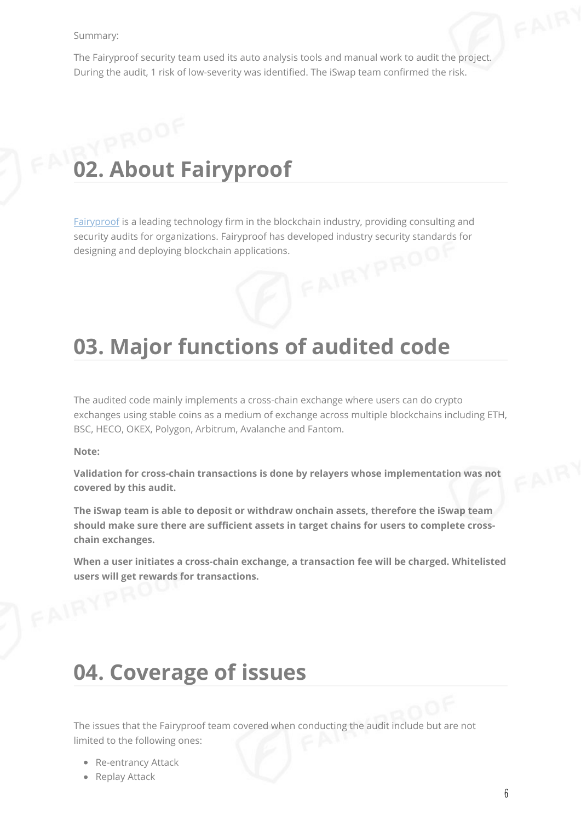#### Summary:

The Fairyproof security team used its auto analysis tools and manual work to audit the project. During the audit, 1 risk of low-severity was identified. The iSwap team confirmed the risk.

# **02. About Fairyproof**

[Fairyproof](https://www.fairyproof.com/) is a leading technology firm in the blockchain industry, providing consulting and security audits for organizations. Fairyproof has developed industry security standards for designing and deploying blockchain applications.<br>
The contract of the contract of the contract of the contract of the contract of the contract of the contract of the contract of the contract of the contract of the contract

## **03. Major functions of audited code**

The audited code mainly implements a cross-chain exchange where users can do crypto exchanges using stable coins as a medium of exchange across multiple blockchains including ETH, BSC, HECO, OKEX, Polygon, Arbitrum, Avalanche and Fantom.

**Note:**

**Validation for cross-chain transactions is done by relayers whose implementation was not covered by this audit.**

**The iSwap team is able to deposit or withdraw onchain assets, therefore the iSwap team should make sure there are sufficient assets in target chains for users to complete crosschain exchanges.**

**When a user initiates a cross-chain exchange, a transaction fee will be charged. Whitelisted users will get rewards for transactions.**

### **04. Coverage of issues**

The issues that the Fairyproof team covered when conducting the audit include but are not limited to the following ones:

- Re-entrancy Attack
- Replay Attack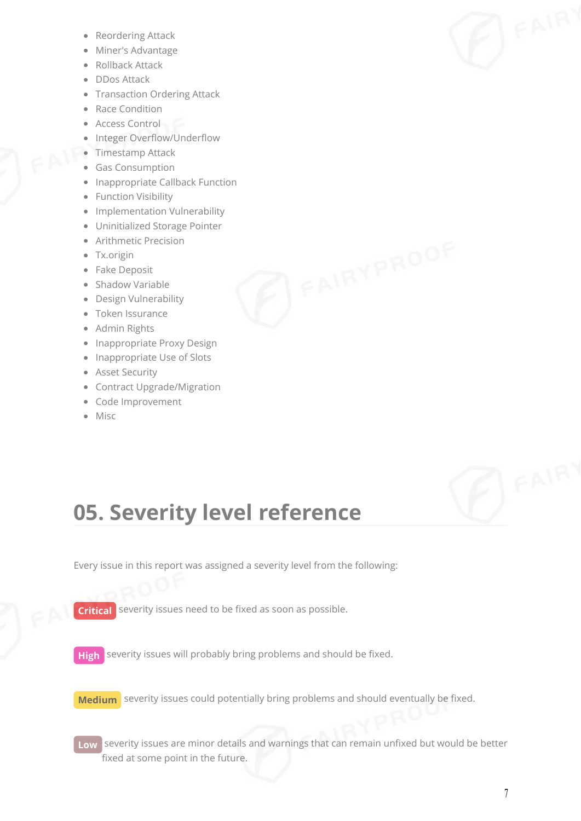- Reordering Attack
- Miner's Advantage
- Rollback Attack
- DDos Attack
- Transaction Ordering Attack
- Race Condition
- Access Control
- Integer Overflow/Underflow
- Timestamp Attack
- Gas Consumption
- Inappropriate Callback Function
- Function Visibility
- Implementation Vulnerability
- Uninitialized Storage Pointer
- Arithmetic Precision
- Tx.origin
- Fake Deposit
- Shadow Variable
- Design Vulnerability
- Token Issurance
- Admin Rights
- Inappropriate Proxy Design
- Inappropriate Use of Slots
- Asset Security
- Contract Upgrade/Migration
- Code Improvement
- Misc



Every issue in this report was assigned a severity level from the following:

**Critical** severity issues need to be fixed as soon as possible.

**High** severity issues will probably bring problems and should be fixed.

**Medium** severity issues could potentially bring problems and should eventually be fixed.

**Low** severity issues are minor details and warnings that can remain unfixed but would be better fixed at some point in the future.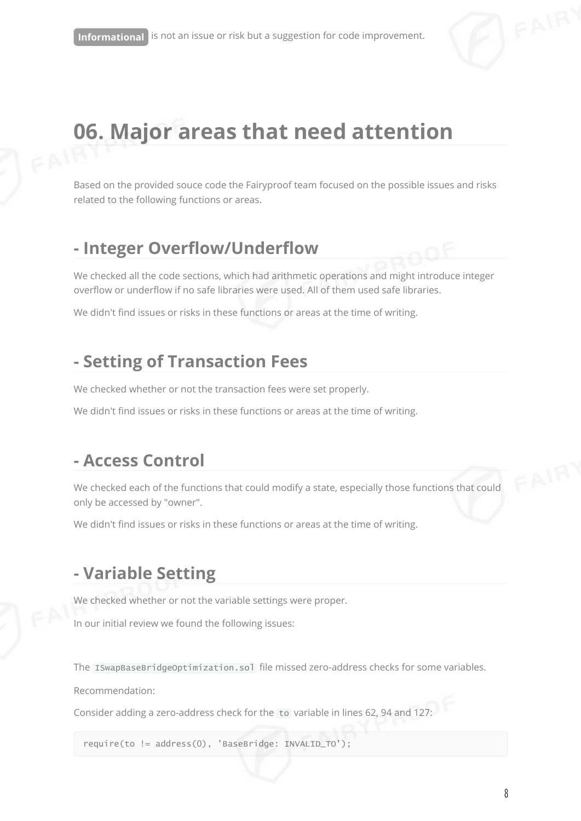

# **06. Major areas that need attention**

Based on the provided souce code the Fairyproof team focused on the possible issues and risks related to the following functions or areas.

#### **- Integer Overflow/Underflow**

We checked all the code sections, which had arithmetic operations and might introduce integer overflow or underflow if no safe libraries were used. All of them used safe libraries.

We didn't find issues or risks in these functions or areas at the time of writing.

#### **- Setting of Transaction Fees**

We checked whether or not the transaction fees were set properly.

We didn't find issues or risks in these functions or areas at the time of writing.

#### **- Access Control**

We checked each of the functions that could modify a state, especially those functions that could only be accessed by "owner".

We didn't find issues or risks in these functions or areas at the time of writing.

#### **- Variable Setting**

We checked whether or not the variable settings were proper.

In our initial review we found the following issues:

The ISwapBaseBridgeOptimization.sol file missed zero-address checks for some variables.

Recommendation:

Consider adding a zero-address check for the to variable in lines 62, 94 and 127:

require(to != address(0), 'BaseBridge: INVALID\_TO');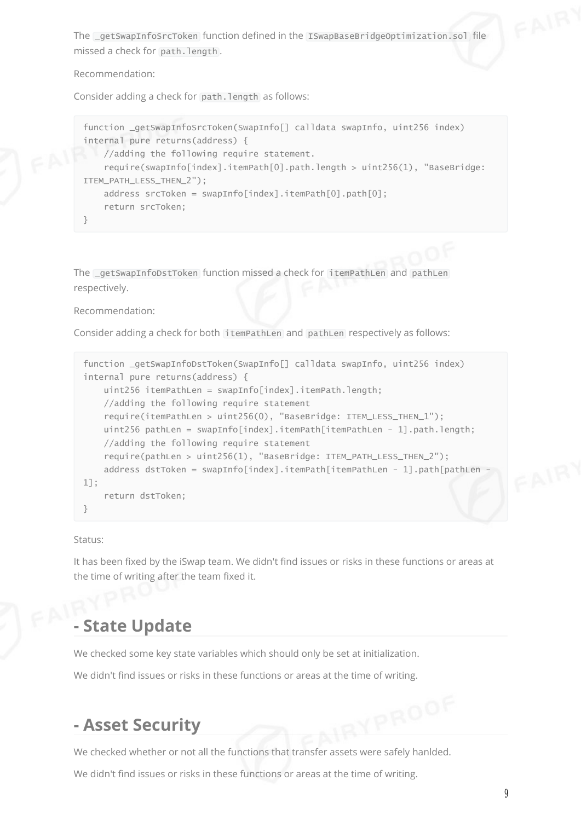The \_getSwapInfoSrcToken function defined in the ISwapBaseBridgeOptimization.sol file missed a check for path.length.

Recommendation:

Consider adding a check for path.length as follows:

```
function _getSwapInfoSrcToken(SwapInfo[] calldata swapInfo, uint256 index)
internal pure returns(address) {
   //adding the following require statement.
    require(swapInfo[index].itemPath[0].path.length > uint256(1), "BaseBridge:
ITEM_PATH_LESS_THEN_2");
   address srcToken = swapInfo[index].itemPath[0].path[0];
    return srcToken;
}
```
The \_getSwapInfoDstToken function missed a check for itemPathLen and pathLen respectively.

Recommendation:

Consider adding a check for both itemPathLen and pathLen respectively as follows:

```
function _getSwapInfoDstToken(SwapInfo[] calldata swapInfo, uint256 index)
internal pure returns(address) {
    uint256 itemPathLen = swapInfo[index].itemPath.length;
    //adding the following require statement
    require(itemPathLen > uint256(0), "BaseBridge: ITEM_LESS_THEN_1");
    uint256 pathLen = swapInfo[index].itemPath[itemPathLen - 1].path.length;
    //adding the following require statement
    require(pathLen > uint256(1), "BaseBridge: ITEM_PATH_LESS_THEN_2");
    address dstToken = swapInfo[index].itemPath[itemPathLen - 1].path[pathLen -
1];
    return dstToken;
}
```
Status:

It has been fixed by the iSwap team. We didn't find issues or risks in these functions or areas at the time of writing after the team fixed it.

#### **- State Update**

We checked some key state variables which should only be set at initialization.

We didn't find issues or risks in these functions or areas at the time of writing.

#### **- Asset Security**

We checked whether or not all the functions that transfer assets were safely hanlded.

We didn't find issues or risks in these functions or areas at the time of writing.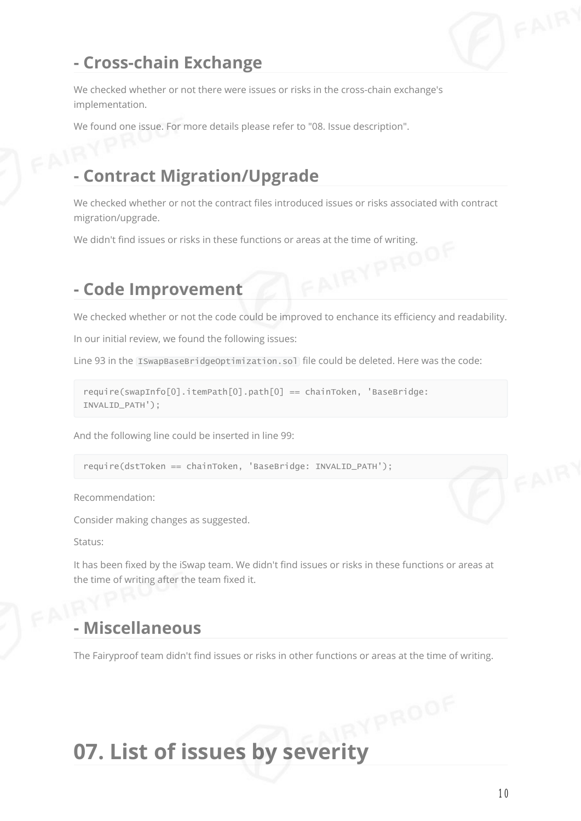

#### **- Cross-chain Exchange**

We checked whether or not there were issues or risks in the cross-chain exchange's implementation.

We found one issue. For more details please refer to "08. Issue description".

#### **- Contract Migration/Upgrade**

We checked whether or not the contract files introduced issues or risks associated with contract migration/upgrade.

We didn't find issues or risks in these functions or areas at the time of writing.<br>- Code Imnuava

#### **- Code Improvement**

We checked whether or not the code could be improved to enchance its efficiency and readability.

In our initial review, we found the following issues:

Line 93 in the ISwapBaseBridgeOptimization.sol file could be deleted. Here was the code:

```
require(swapInfo[0].itemPath[0].path[0] == chainToken, 'BaseBridge:
INVALID_PATH');
```
And the following line could be inserted in line 99:

require(dstToken == chainToken, 'BaseBridge: INVALID\_PATH');

Recommendation:

Consider making changes as suggested.

Status:

It has been fixed by the iSwap team. We didn't find issues or risks in these functions or areas at the time of writing after the team fixed it.

#### **- Miscellaneous**

The Fairyproof team didn't find issues or risks in other functions or areas at the time of writing.

# **07. List of issues by severity**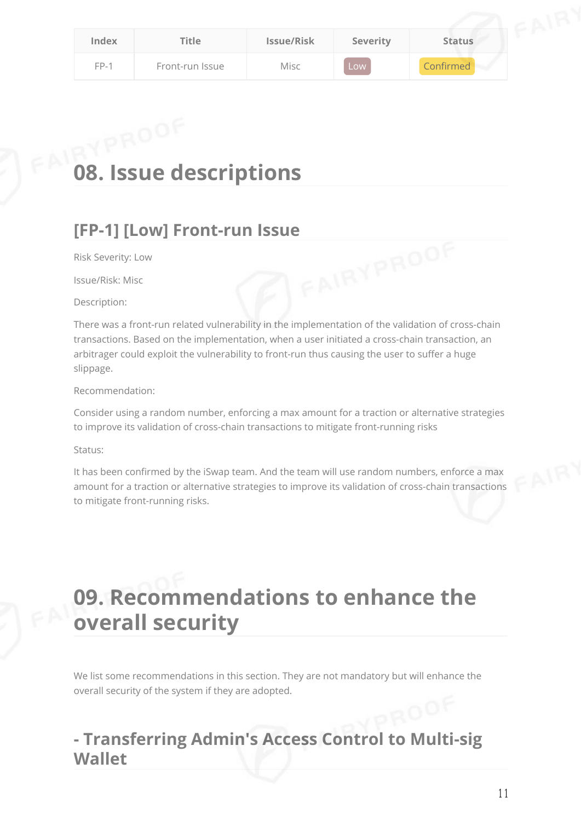| Index  | Title           | <b>Issue/Risk</b> | <b>Severity</b> | <b>Status</b> |
|--------|-----------------|-------------------|-----------------|---------------|
| $FP-1$ | Front-run Issue | Misc              | Low             | Confirmed     |

# **08. Issue descriptions**

# **[FP-1] [Low] Front-run Issue**<br>Risk Severity: Low<br>Issue/Risk: Misc

Risk Severity: Low

Issue/Risk: Misc

Description:

There was a front-run related vulnerability in the implementation of the validation of cross-chain transactions. Based on the implementation, when a user initiated a cross-chain transaction, an arbitrager could exploit the vulnerability to front-run thus causing the user to suffer a huge slippage.

Recommendation:

Consider using a random number, enforcing a max amount for a traction or alternative strategies to improve its validation of cross-chain transactions to mitigate front-running risks

Status:

It has been confirmed by the iSwap team. And the team will use random numbers, enforce a max amount for a traction or alternative strategies to improve its validation of cross-chain transactions to mitigate front-running risks.

# **09. Recommendations to enhance the overall security**

We list some recommendations in this section. They are not mandatory but will enhance the overall security of the system if they are adopted.

#### **- Transferring Admin's Access Control to Multi-sig Wallet**